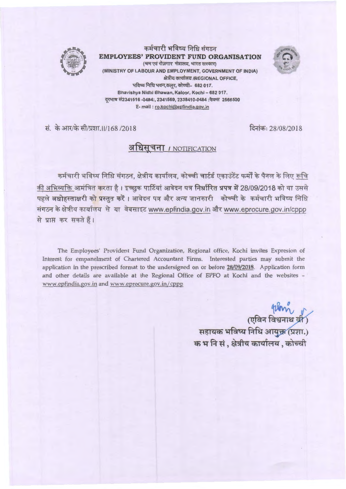

कर्मचारी भविष्य निधि संगठन **EMPLOYEES' PROVIDENT FUND ORGANISATION**<br>
(अम एवं रोज़गार मंत्रालय, भारत सरकार) (MINISTRY OF LABOUR AND EMPLOYMENT, GOVERNMENT OF INDIA) क्षेत्रीय कार्यालय /REGIONAL OFFICE, भविष्य निधि भवन,कलूर, कोच्ची- 682 017. Bhavishya Nidhi Bhawan, Kaloor, Kochi - 682 017. वरभाष सं2341516 -0484:, 2341569, 2338410-0484 :फैक्स 2566500 E· mail : ro.kochi@epfindia.gov.in

सं. के आर/के सी/प्रशा.॥/168 /2018

दिनांक: 28/08/2018

# ~ **~j '11** / NOTIFICATION

कर्मचारी भविष्य निधि संगठन, क्षेत्रीय कार्यालय, कोच्ची चार्टर्ड एकाउंटेंट फर्मों के पैनल के लिए रूचि की अभिव्यक्ति आमंत्रित करता है। इच्छुक पार्टियां आवेदन पत्र निर्धारित प्रपत्र में 28/09/2018 को या उससे पहले अधोहस्ताक्षरी क<mark>ो प्रस्तुत करें। आवेदन पत्र और अन्य जानकारी कोच्ची के कर्मचारी भविष्य निधि</mark> संगठन के क्षेत्रीय कार्यालय से या वेबसाइट www.epfindia.gov.in और www.eprocure.gov.in/cppp से प्राप्त कर सकते हैं।

The Employees' Provident Fund Organization, Regional office, Kochi invites Expresion of Interest for empanelment of Chartered Accountant Firms. Interested parties may submit the application in the prescribed format to the undersigned on or before **28/09/2018.** Application form and other details are available at the Regional Office of EPFO at Kochi and the websites www.epfindia.gov.in and www.eprocure.gov.in/cppp

> क्ष्या ।<br>पुलिन विश्वनाथ व्री सहायक भविष्य निधि आयुक्त (प्रशा.) क भ नि सं, क्षेत्रीय कार्यालय, कोच्ची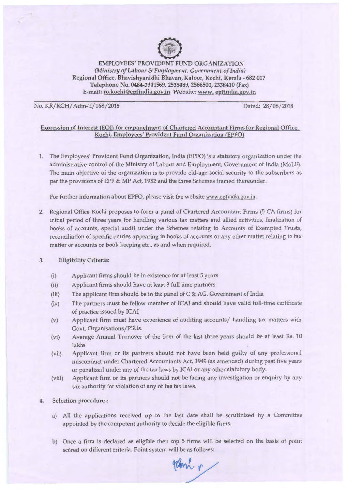

EMPLOYEES' PROVIDENT FUND ORGANIZATION *(Ministry of Labour & Employment, Government of India)* Regional Office, Bhavishyanidhi Bhavan, Kaloor, Kochi, Kerala - 682 017 Telephone No. 0484-2341569, 2535489, 2566500, 2338410 (Fax) E-mail: ro.kochi@epfindia.gov.in Website: www. epfindia.gov.in

No. KR/KCH/ Adm-11/168/2018 Dated: 28/ 08/2018

Expression of Interest (EOI) for empanelment of Chartered Accountant Firms for Regional Office, Kochi, Employees' Provident Fund Organization (EPFO)

1. The Employees' Provident Fund Organization, India (EPFO) is a statutory organization under the administrative control of the Ministry of Labour and Employment, Government of India (MoLE). The main objective of the organization is to provide old-age social security to the subscribers as per the provisions of EPF & MP Act, 1952 and the three Schemes framed thereunder.

For further information about EPFO, please visit the website www.epfindia.gov.in.

2. Regional Office Kochi proposes to form a panel of Chartered Accountant Firms (5 CA firms) for initial period of three years for handling various tax matters and allied activities, finalization of books of accounts, special audit under the Schemes relating to Accounts of Exempted Trusts, reconciliation of specific entries appearing in books of accounts or any other matter relating to tax matter or accounts or book keeping etc., as and when required.

### 3. Eligibility Criteria:

- (i) Applicant firms should be in existence for at least 5 years
- (ii) Applicant firms should have at least 3 full time partners
- (iii) The applicant firm should be in the panel of C & AG, Government of India
- (iv) The partners must be fellow member of ICAI and should have valid full-time certificate of practice issued by ICAI
- (v) Applicant firm must have experience of auditing accounts/ handling tax matters with Govt. Organisations/PSUs.
- (vi) Average Annual Turnover of the firm of the last three years should be at least Rs. 10 lakhs
- (vii) Applicant firm or its partners should not have been held guilty of any professional misconduct under Chartered Accountants Act, 1949 (as amended) during past five years or penalized under any of the tax laws by ICAI or any other statutory body.
- (viii) Applicant firm or its partners should not be facing any investigation or enquiry by any tax authority for violation of any of the tax laws.

#### 4. Selection procedure:

- a) All the applications received up to the last date shall be scrutinized by a Committee appointed by the competent authority to decide the eligible firms.
- b) Once a firm is declared as eligible then top 5 firms will be selected on the basis of point scóred on different criteria. Point system will be as follows:

92Bon r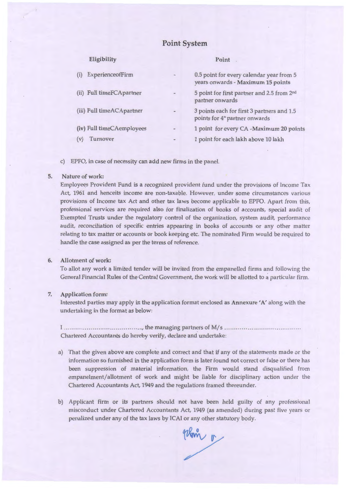# **Point System**

| Eligibility               |   | Point                                                                                    |
|---------------------------|---|------------------------------------------------------------------------------------------|
| ExperienceofFirm          | ۰ | 0.5 point for every calendar year from 5<br>years onwards - Maximum 15 points            |
| (ii) Full timeFCApartner  |   | 5 point for first partner and 2.5 from 2nd<br>partner onwards                            |
| (iii) Full timeACApartner |   | 3 points each for first 3 partners and 1.5<br>points for 4 <sup>th</sup> partner onwards |
| (iv) Full timeCAemployees |   | 1 point for every CA -Maximum 20 points                                                  |
| Turnover<br>(V)           |   | 1 point for each lakh above 10 lakh                                                      |

c) EPFO, in case of necessity can add new firms in the panel.

#### 5. Nature of work:

Employees Provident Fund is a recognized provident fund under the provisions of Income Tax Act, 1961 and henceits income are non-taxable. However, under some circumstances various provisions of Income tax Act and other tax laws become applicable to EPFO. Apart from this, professional services are required also for finalization of books of accounts, special audit of Exempted Trusts under the regulatory control of the organization, system audit, performance audit, reconciliation of specific entries appearing in books of accounts or any other matter relating to tax matter or accounts or book keeping etc. The nominated Firm would be required to handle the case assigned as per the terms of reference.

# 6. **Allotment of work:**

To allot any work a limited tender will be invited from the empanelled firms and following the General Financial Rules of the Central Government, the work will be allotted to a particular firm.

#### 7. **Application form:**

Interested parties may apply in the application format enclosed as **Annexure 'A'** along w ith the undertaking in the format as below:

I ...... .... .. ........ ... .. ....... ....... .. , the managing partn~rs of M/ s ... .. .. ..... ...... ...... .......... ..... . Chartered Accountants do hereby verify, declare and undertake:

- a) That the given above are complete and correct and that if any of the statements made or the information so furnished in the application form is later found not correct or false or there has been suppression of material information, the Firm would stand disqualified from empanelment/allotment of work and might be liable for disciplinary action under the Chartered Accountants Act, 1949 and the regulations framed thereunder.
- b) Applicant firm or its partners should not have been held guilty of any professional misconduct under Chartered Accountants Act, 1949 (as amended) during past five years or penalized under any of the tax laws by ICAI or any other statutory body.

Wam o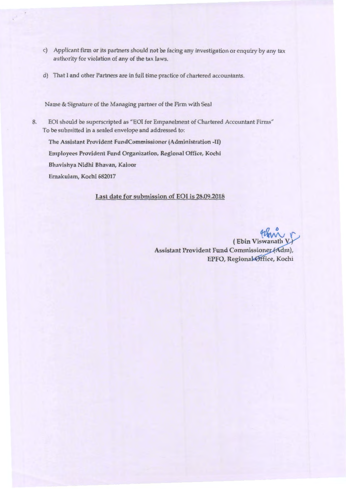- c) Applicant firm or its partners should not be facing any investigation or enquiry by any tax authority for violation of any of the tax laws.
- d) That I and other Partners are in full time practice of chartered accountants.

Name & Signature of the Managing partner of the Firm with Seal

8. EOI should be superscripted as "EOI for Empanelment of Chartered Accountant Firms" To be submitted in a sealed envelope and addressed to:

The Assistant Provident FundCommissioner (Administration -II) Employees Provident Fund Organization, Regional Office, Kochi Bhavishya Nidhi Bhavan, Kaloor Ernakulam, Kochi 682017

## Last date for submission of EOI is 28.09.2018

(Ebin Viswanath) Assistant Provident Fund Commissioner (Adm), EPFO, Regional Office, Kochi